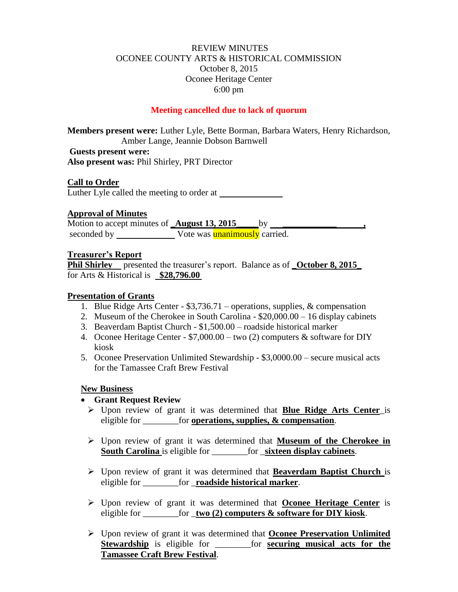# REVIEW MINUTES OCONEE COUNTY ARTS & HISTORICAL COMMISSION October 8, 2015 Oconee Heritage Center 6:00 pm

## **Meeting cancelled due to lack of quorum**

**Members present were:** Luther Lyle, Bette Borman, Barbara Waters, Henry Richardson, Amber Lange, Jeannie Dobson Barnwell

**Guests present were: Also present was:** Phil Shirley, PRT Director

# **Call to Order**

Luther Lyle called the meeting to order at

## **Approval of Minutes**

Motion to accept minutes of **\_August 13, 2015** by \_\_\_\_\_\_\_\_\_\_\_\_\_\_\_\_\_\_\_\_\_\_\_\_\_\_\_\_\_\_\_ seconded by Vote was unanimously carried.

#### **Treasurer's Report**

**Phil Shirley** presented the treasurer's report. Balance as of **\_October 8, 2015\_** for Arts & Historical is **\$28,796.00**

### **Presentation of Grants**

- 1. Blue Ridge Arts Center \$3,736.71 operations, supplies, & compensation
- 2. Museum of the Cherokee in South Carolina \$20,000.00 16 display cabinets
- 3. Beaverdam Baptist Church \$1,500.00 roadside historical marker
- 4. Oconee Heritage Center \$7,000.00 two (2) computers & software for DIY kiosk
- 5. Oconee Preservation Unlimited Stewardship \$3,0000.00 secure musical acts for the Tamassee Craft Brew Festival

## **New Business**

## **Grant Request Review**

- Upon review of grant it was determined that **Blue Ridge Arts Center**\_is eligible for **operations**, supplies, & compensation.
- Upon review of grant it was determined that **Museum of the Cherokee in South Carolina** is eligible for \_\_\_\_\_\_\_\_for \_**sixteen display cabinets**.
- Upon review of grant it was determined that **Beaverdam Baptist Church** is eligible for \_\_\_\_\_\_\_\_for \_**roadside historical marker**.
- Upon review of grant it was determined that **Oconee Heritage Center** is eligible for \_\_\_\_\_\_\_\_for \_**two (2) computers & software for DIY kiosk**.
- Upon review of grant it was determined that **Oconee Preservation Unlimited Stewardship** is eligible for \_\_\_\_\_\_\_\_for **securing musical acts for the Tamassee Craft Brew Festival**.